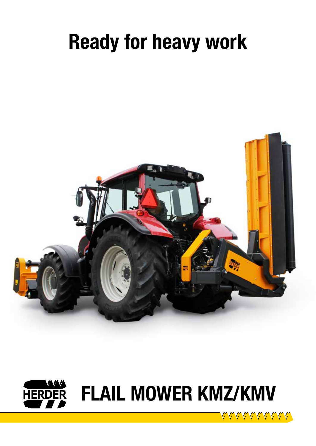# Ready for heavy work





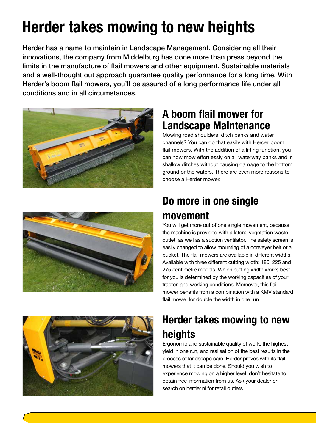## Herder takes mowing to new heights

Herder has a name to maintain in Landscape Management. Considering all their innovations, the company from Middelburg has done more than press beyond the limits in the manufacture of flail mowers and other equipment. Sustainable materials and a well-thought out approach guarantee quality performance for a long time. With Herder's boom flail mowers, you'll be assured of a long performance life under all conditions and in all circumstances.





#### A boom flail mower for Landscape Maintenance

Mowing road shoulders, ditch banks and water channels? You can do that easily with Herder boom flail mowers. With the addition of a lifting function, you can now mow effortlessly on all waterway banks and in shallow ditches without causing damage to the bottom ground or the waters. There are even more reasons to choose a Herder mower.

## Do more in one single movement

You will get more out of one single movement, because the machine is provided with a lateral vegetation waste outlet, as well as a suction ventilator. The safety screen is easily changed to allow mounting of a conveyer belt or a bucket. The flail mowers are available in different widths. Available with three different cutting width: 180, 225 and 275 centimetre models. Which cutting width works best for you is determined by the working capacities of your tractor, and working conditions. Moreover, this flail mower benefits from a combination with a KMV standard flail mower for double the width in one run.



## Herder takes mowing to new heights

Ergonomic and sustainable quality of work, the highest yield in one run, and realisation of the best results in the process of landscape care. Herder proves with its flail mowers that it can be done. Should you wish to experience mowing on a higher level, don't hesitate to obtain free information from us. Ask your dealer or search on herder.nl for retail outlets.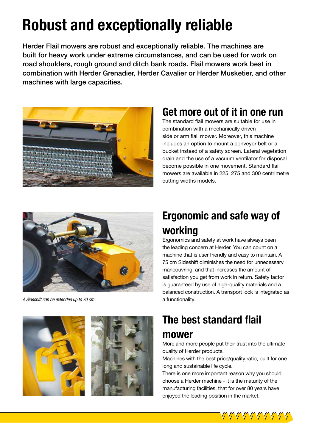## Robust and exceptionally reliable

Herder Flail mowers are robust and exceptionally reliable. The machines are built for heavy work under extreme circumstances, and can be used for work on road shoulders, rough ground and ditch bank roads. Flail mowers work best in combination with Herder Grenadier, Herder Cavalier or Herder Musketier, and other machines with large capacities.



#### Get more out of it in one run

The standard flail mowers are suitable for use in combination with a mechanically driven side or arm flail mower. Moreover, this machine includes an option to mount a conveyor belt or a bucket instead of a safety screen. Lateral vegetation drain and the use of a vacuum ventilator for disposal become possible in one movement. Standard flail mowers are available in 225, 275 and 300 centrimetre cutting widths models.



*A Sideshift can be extended up to 70 cm.*

### Ergonomic and safe way of working

Ergonomics and safety at work have always been the leading concern at Herder. You can count on a machine that is user friendly and easy to maintain. A 75 cm Sideshift diminishes the need for unnecessary maneouvring, and that increases the amount of satisfaction you get from work in return. Safety factor is guaranteed by use of high-quality materials and a balanced construction. A transport lock is integrated as a functionality.





## The best standard flail

#### mower

More and more people put their trust into the ultimate quality of Herder products.

Machines with the best price/quality ratio, built for one long and sustainable life cycle.

There is one more important reason why you should choose a Herder machine - it is the maturity of the manufacturing facilities, that for over 80 years have enjoyed the leading position in the market.